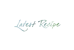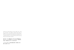Sample the simple pleasures of salt, vinegar, spice, sugar and chocolate. Five different elements that alone or together can turn the freshest and finest of natural ingredients into exciting tastes and unexpected combinations. Let Le Méridien take you on a taste of discovery with some truly delicious and evocative creations.

塩、ビネガー、スパイス、砂糖、チョコレートのシンプルかつ深い味わいを お試しください。この5つの要素がひとつでも、また合わさっても斬新な味を 引き出し、予想を超えるコンビネーションを生み出します。

ル・メリディアンがおいしいお料理と刺激的な創作で、皆様を新しい味の 発見へとお連れいたします。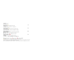### **SNACKS** スナック

| Italian Olives<br>baked olives, celery, roasted pepper, fennel seed<br>イタリアンオリーブ<br>ベークドオリーブ セロリ ローストペッパー フェンネルシード                                           | 150 |
|--------------------------------------------------------------------------------------------------------------------------------------------------------------|-----|
| French Croutons<br>warm brie cheese on toast with dried fruits and sunflower seeds<br>フレンチクルトンのトースト<br>ドライフルーツとサンフラワーシードのトースト とろけるブリーチーズのせ                   | 250 |
| Mexican Inspired $\hspace{0.1em}\sqrt{ }$<br>jicama tacos filled with chicken, avocado and spicy mayonnaise<br>葛いものヘルシータコス<br>鶏肉 アボカド スパイシーマヨネーズを葛いものシェルで包んで | 280 |
| Satay Gai rue Moo<br>grilled chicken or pork skewers with peanut curry sauce<br>タイ風串焼き<br>ピーナッツカレーソースを添えて 鶏肉か豚肉のいずれかをお選びください                                 | 240 |

#### Signature dish シグネチャーディッシュ Spicy スパイシー (2) contains pork 豚肉使用 **b** vegetarian ベジタリアン レ vegetarian option available ベジタリアンオプション可

Allow us to fulfil your needs – please let one of our associates know if you have any special dietary requirements, food allergies or food intolerance

All prices are in THB and are subject to 7% government tax and 10% service charge<br>食物アレルギーをお持ちのお客様はスタッフまでご連絡ください。上記金額はタイバーツ建てとなります。別途7%のVAT及び10%のサービス料金加算となりますことをご了承ください。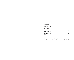| Phor Phia  ae<br>homemade deep-fried vegetable spring rolls<br>自家製揚げ野菜春巻き                                                         | 220 |
|-----------------------------------------------------------------------------------------------------------------------------------|-----|
| Fresh Spring Rolls $V$<br>filled with vermicelli and shrimp<br>春雨と海老の生春巻き                                                         | 220 |
| <b>APPETIZER 前菜</b>                                                                                                               |     |
| Portobello<br>marinated mushroom, tomato, mozzarella, wild rocket<br>ポートベロマッシュルームのサラダ<br>トマト・モッツァレラチーズ・ルッコラをポートベロマッシュルームで挟んだサラダです | 360 |
| Healthy Vegetable Terrine<br>layered with goat cheese, apple juice reduction<br>野菜のテリーヌ<br>ゴートチーズ・リンゴのリダクションソース                   | 380 |

 $\bigoplus$  signature dish シグネチャーディッシュ Spicy スパイシー (☆) contains pork 豚肉使用  $\blacksquare$  vegetarian ベジタリアン  $\hspace{0.1 cm}\mathcal{V}\hspace{0.1 cm}$  vegetarian option available ベジタリアンオプション可 Allow us to fulfil your needs – please let one of our associates know if you have any special dietary requirements, food allergies or food intolerance All prices are in THB and are subject to 7% government tax and I0% service charge<br>食物アレルギーをお持ちのお客様はスタッフまでご連絡ください。上記金額はタイパーツ建てとなります。別途7%のVAT及び10%のサービス料金加算となりますことをご了承ください。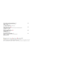| Herb and Spice Cured Sustainable Salmon $\mathbb{C}^2$<br>with fruit and vegetable salad, citrus-olive oil emulsion<br>自家製サーモンマリネ<br>ハーブとスパイスで清け込みました<br>フルーツと野菜 シトラスとオリーブオイルのエマルション | 420 |
|--------------------------------------------------------------------------------------------------------------------------------------------------------------------------------------|-----|
| <b>Alaskan Ocean Scallop</b><br>wrapped with bacon, served with caramelized mango and eucalyptus apple puree<br>アラスカ産ホタテのベーコン包み<br>カラメルマンゴー リンゴのピューレ                                 | 560 |
| 24 Months Aged Parma Ham<br>with port-infused rock melon<br>24カ月熟成パルマハム<br>ポートワインに浸したメロンと共に                                                                                          | 420 |
| Mieng Goong Tord Nam Makham $\mathbb{C}^3$<br>deep-fried shrimp in betel leaves with coconut and tamarind<br>揚げ海老 キンマの葉包み<br>タマリンドココナッツソース                                           | 360 |

↓ signature dish シグネチャーディッシュ Spicy スパイシー (☆) contains pork 豚肉使用 **b** vegetarian ベジタリアン  $\mathcal V$  vegetarian option available ベジタリアンオプション可

Allow us to fulfil your needs – please let one of our associates know if you have any special dietary requirements, food allergies or food intolerance

All prices are in THB and are subject to 7% government tax and 10% service charge<br>食物アレルギーをお持ちのお客様はスタッフまでご連絡ください。上記金額はタイパーツ建てとなります。別途7%のVAT及び10%のサービス料金加算となりますことをご了承ください。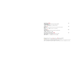| Nam Prik Ong<br>grilled pork and tomato chili dip with seasonal organic vegetables<br>トマトと豚肉の野菜ディップ<br>生野菜をトマトと豚挽肉を煮詰めたディップでお召し上がりください                    | 360 |
|-----------------------------------------------------------------------------------------------------------------------------------------------------------|-----|
| Larb Gai<br>spicy minced chicken with shallot, fish sauce, lime, mint and crunchy rice powder<br>鶏肉のラーブ<br>鶏ひき肉 エシャレット 魚醤 ライム ミントリーフ ライスパウダー              | 220 |
| Yum Talay<br>squid, prawn and mussel with onion, tomato, lime and fish sauce<br>タイ風シーフードサラダ<br>イカ 海老 ムール貝 玉ねぎ ライム 魚醤                                      | 360 |
| Deep-fried E-sarn Pork Sausages<br>flavoured with garlic, served with deep-fried chili and rice crackers<br>イサーンソーセージ<br>発酵させた豚肉のソーセージ 揚げ唐辛子とライスクラッカーを添えて | 260 |

 $\bigcirc$  signature dish シグネチャーディッシュ Spicy スパイシー (☆) contains pork 豚肉使用 **begetarian ベジタリアン 3 V vegetarian option available ベジタリアンオプション可** Allow us to fulfil your needs – please let one of our associates know if you have any special dietary requirements, food allergies or food intolerance All prices are in THB and are subject to 7% government tax and IO% service charge<br>食物アレルギーをお持ちのお客様はスタッフまでご連絡ください。上記金額はタイパーツ建てとなります。別途7%のVAT及び10%のサービス料金加算となりますことをご了承ください。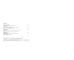## **SALAD サラダ**

| Classic Caesar $\bullet$ $\mathcal V$<br>crispy romaine lettuce, bacon bits, shaved parmesan<br>シーザーサラダ                                      | 330 |
|----------------------------------------------------------------------------------------------------------------------------------------------|-----|
| ロメインレタス ベーコン パルメザンチーズ<br>your choice of topping: avocado, chicken, prawn or smoked salmon<br>追加トッピング:アボカド 鶏肉 海老 スモークサーモン                     | 380 |
| Greek Salad<br>fresh cucumber, cherry tomatoes, feta cheese, kalamata olives, oregano oil<br>グリークサラダ<br>きゅうり チェリートマト フェタチーズ カラマタオリーブ オレガノオイル | 280 |
| <b>Baby Spinach</b><br>with smoked eggplant, balsamic vinegar and pumpkin seeds<br>ほうれん草のサラダ<br>燻し茄子 バルサミコ酢 かぼちゃの種                           | 320 |

 $\sqrt[4]{ }$  signature dish シグネチャーディッシュ spicy スパイシー (\*) contains pork 豚肉使用 **♦ vegetarian ≺ジタリアン**  $\mathcal V$  **vegetarian option available ベジタリアンオプション可** Allow us to fulfil your needs – please let one of our associates know if you have any special dietary requirements, food allergies or food intolerance All prices are in THB and are subject to 7% government tax and 10% service charge<br>食物アレルギーをお持ちのお客様はスタッフまでご連絡ください。上記金額はタイバーツ建てとなります。別途7%のVAT及び10%のサービス料金加算となりますことをご了承ください。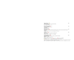| Organic Quinoa<br>with mediterranean capers, olives, almond and herbs<br>オーガニックキヌアサラダ<br>ケッパー オリーブ アーモンド ハーブ                                                                                                                                                                                                                          | 320 |
|---------------------------------------------------------------------------------------------------------------------------------------------------------------------------------------------------------------------------------------------------------------------------------------------------------------------------------------|-----|
| Som Tam Goong Sod<br>spicy green papaya salad with prawn<br>パパイヤサラダ<br>車海老の塩茹でを添えて                                                                                                                                                                                                                                                    | 310 |
| Yum Som $O \otimes$<br>thai pomelo salad with crispy shallot, dried shrimp, garlic, dried coconut and roasted chili paste<br>ポメロサラダ<br>干し海老 クリスピーエシャレット ニンニク ドライココナッツ チリペースト                                                                                                                                                          | 340 |
| Yum Hed $\mathcal V$<br>spicy mushroom with onion, tomato, lime and fish sauce<br>タイ風キノコサラダ<br>スパイシーマッシュルーム 玉ねぎ トマト ライム 魚醤                                                                                                                                                                                                            | 220 |
| Yum Nuea Yang $\mathscr{C}$<br>spicy grilled beef salad with onion, celery, cucumber and tomato<br>牛肉のスパイシーサラダ<br>牛肉のグリル 玉ねぎ セロリ 胡瓜 トマト                                                                                                                                                                                               | 360 |
| Signature dish シグネチャーディッシュ spicy スパイシー (3) contains pork 豚肉使用<br>vegetarian ベジタリアン $\mathcal V$ vegetarian option available ベジタリアンオプション可                                                                                                                                                                                              |     |
| Allow us to fulfil your needs - please let one of our associates know if you have any special dietary requirements, food allergies or food intolerance<br>All prices are in THB and are subject to 7% government tax and IO% service charge<br>食物アレルギーをお持ちのお客様はスタッフまでご連絡ください。上記金額はタイバーツ建てとなります。別途7%のVAT及び10%のサービス料金加算となりますことをご了承ください。 |     |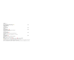SOUP<sub> $z$ </sub>

| Roasted Pumpkin and Carrot Soup<br>flavoured with basil oil<br>かぼちゃと人参のスープ<br>バジルオイル                                                                            | 250 |
|-----------------------------------------------------------------------------------------------------------------------------------------------------------------|-----|
| Soup of the Day<br>本日のスープ                                                                                                                                       | 200 |
| Tom Yum Hed $\mathcal{V}$<br>spicy and sour lemongrass soup with mushroom<br>スパイシーマッシュルームスープ<br>レモングラス ハーブ                                                      | 250 |
| Tom Yum Goong<br>spicy mushroom with onion, tomato, lime and fish sauce<br>トムヤムクン<br>車海老、レモングラス と マッシュルームのスパイシーハーバルスープ                                          | 280 |
| Tom Kha Gai<br>spicy coconut milk soup with chicken and herbs<br>トムカーガイ<br>鶏肉とハーブのスパイシーココナッツミルクスープ<br>Signature dish シグネチャーディッシュ spicy スパイシー sontains pork 豚肉使用 | 250 |
| vegetarian ベジタリアン $\mathcal V$ vegetarian option available ベジタリアンオプション可                                                                                         |     |
| Allow us to fulfil your needs - please let one of our associates know if you have any special dietary requirements, food allergies or food intolerance          |     |

All prices are in THB and are subject to 7% government tax and 10% service charge<br>食物アレルギーをお持ちのお客様はスタッフまでご連絡ください。上記金額はタイバーツ建てとなります。別途7%のVAT及び10%のサービス料金加算となりますことをご了承ください。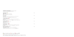## SANDWICH AND BURGER サンドイッチとハンバーガー

all sandwiches and burgers are served with french fries

| <b>Veggie Baguette</b><br>zucchini, eggplant, peppers, olive-basil pesto<br>野菜のバケット<br>ズッキーニ 茄子 胡椒 オリーブとバジルのペスト                                                             | 280 |
|-----------------------------------------------------------------------------------------------------------------------------------------------------------------------------|-----|
| <b>Russian Toast</b><br>poached egg with smoked salmon and hollandaise sauce on whole wheat toast<br>ロシアントースト<br>スモークサーモンとポーチドエッグの全麦トーストのせ オランデーズソース                        | 290 |
| "Le Club" Sandwich<br>grilled chicken, rosemary roasted bacon, egg, tomato, lettuce, dijonnaise sauce<br>クラブサンドイッチ<br>グリルチキン ベーコンのローズマリーロースト 目玉焼き トマト レタス ディジョネーズソース        | 340 |
| Thai Chicken Wrap<br>with spicy green papaya salad and lettuce<br>タイ風チキンラップ<br>スパイシーパパイヤサラダ レタス                                                                             | 360 |
| Pork Belly Burger &<br>sliced pork belly, sous vide apple, grilled mushroom, caramelized onion, bbq sauce<br>ポークベリーバーガー<br>豚バラ肉のバーガー リンゴ マッシュルーム キャラメルオニオン バーベキューソース        | 385 |
| Black Angus Beef Burger $\mathcal{C}^3$<br>220 grams angus beef, cheddar, tomato, onion, homemade ketchup<br>ブラックアンガス・ビーフバーガー<br>アンガスビーフパティ220グラム チェダーチーズ トマト タマネギ 自家製ケチャップ | 480 |



Allow us to fulfil your needs – please let one of our associates know if you have any special dietary requirements, food allergies or food intolerance All prices are in THB and are subject to 7% government tax and 10% service charge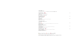#### **THAI CURRY \$4tu-**

all curries are served with jasmine rice すべてのタイカレーはジャスミンライスと共に提供いたし

**Khao Pad Gai rue Moo**  $\mathcal{V}$ wok-fried rice with your choice of sliced chicken or pork, topped with a fried egg タイチャーハン 目玉焼きのせ 鶏肉又は豚肉のいずれかをお選びください

| Gaeng Kiew Waan $\mathcal V \otimes \blacklozenge$<br>thai green curry with ginger and kaffir lime<br>made with your choice of chicken, beef, pork<br>タイグリーンカレー<br>鶏肉 牛肉 豚肉のいずれかをお選びください | 320 |
|------------------------------------------------------------------------------------------------------------------------------------------------------------------------------------------|-----|
| Gaeng Phed Ped Yang<br>thai roasted duck with red curry<br>合鴨とフルーツのレッドカレー                                                                                                                | 325 |
| Massaman Gai<br>rich mild thai chicken curry with cinnamon, peanut and potato<br>鶏のマッサマンカレー<br>シナモン ピーナッツ ジャガイモ                                                                          | 300 |
| THAI MAINS タイ料理メインコース                                                                                                                                                                    |     |
| Khao Soi<br>northern style egg noodles in curry with shallots, pickled cabbage and your choice of chicken or beef<br>カオソーイカレーヌードル<br>エシャレット キャベツ清<br>鶏肉又は牛肉のいずれかをお選びください                 | 320 |
| Pad Thai Goong $~\,$ $\mathcal{V}$<br>wok-fried flat rice noodle with prawn, bean curd, egg, peanut and tamarind sauce<br>パッタイ ミーフン炒め<br>海老 揚げ豆腐 卵 タマリンドピーナッツソース                         | 345 |
| Khao Pad Gai rue Moo $\mathcal V\otimes$                                                                                                                                                 | 280 |

Allow us to fulfil your needs – please let one of our associates know if you have any special dietary requirements, food allergies or food intolerance All prices are in THB and are subject to 7% government tax and 10% service charge 食物アレルギーをお持ちのお客様はスタッフまでご連絡ください。上記金額はタイパーツ建てとなります。別途7%のVAT及び10%のサービス料金加算となりますことをご了承ください。

| I |        |         |
|---|--------|---------|
| ٧ | $\sim$ | I<br>۰. |

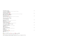| Kaow Pad Poo rue Goong<br>wok-fried rice with your choice of crab meat or prawn, topped with a fried egg<br>シーフードチャーハン 目玉焼きのせ<br>蟹肉又は海老のいずれかをお選びください                                  | 320 |
|---------------------------------------------------------------------------------------------------------------------------------------------------------------------------------------|-----|
| Pad Ka Prow Rad Kaow 8<br>stir-fried minced pork, chicken or beef, with chili, garlic, holy basil, served with rice and a fried egg<br>挽肉とにんにくのバジル炒め 目玉焼きと共に<br>鶏肉 牛肉 豚肉のいずれかをお選びください | 280 |
| Pad Ka Prow Goong<br>stir-fried tiger prawn, with chili, garlic, holy basil, served with rice and a fried egg<br>海老とにんにくのバジル炒め 目玉焼きと共に                                                | 320 |
| <b>ASIAN FAVOURITES アジア料理</b>                                                                                                                                                         |     |
| <b>Hainanese Chicken Rice</b><br>steamed chicken, rice cooked in chicken broth, clear chicken soup<br>海南チキンライス<br>茹で鶏 鶏出汁の炊き上げご飯 お吸い物                                                 | 320 |
| Singapore Laksa Noodle<br>in spicy coconut soup with tiger prawn, bean sprouts and bean curd<br>シンガポール スパイシーラクサヌードル<br>スパイシーココナッツスープ 車海老 もやし 揚げ豆腐                                     | 380 |
| <b>Chinese Beef Noodle Soup</b><br>rice noodle in clear soup with beef short ribs and vegetables<br>中華風牛肉麺<br>米麺 ショートリブ 野菜                                                            | 350 |
| Tempura Soba Noodle Soup<br>buckwheat noodle soup with prawn and vegetable tempura<br>天ぷらそば<br>海老と野菜の天ぷら                                                                              | 340 |
| Garam Masala Curry<br>indian vegetable curry served with garlic butter naan bread<br>ガラムマサラカレー<br>野菜カレー ガーリックバターナン                                                                    | 320 |

↓ signature dish シグネチャーディッシュ ● spicy スパイシー ● contains pork 豚肉使用 **b** vegetarian ベジタリアン レ Vegetarian option available ベジタリアンオプション可

Allow us to fulfil your needs – please let one of our associates know if you have any special dietary requirements, food allergies or food intolerance All prices are in THB and are subject to 7% government tax and 10% service charge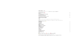#### **MEAT LOVER ステーキ類**

served with 2 side dishes and I sauce of your choice お好みのサイドディッシュ2品とソースをお選び下さい

**Kurobuta Pork Cutlet 900** 黒豚のカツレツ

**Slow Roasted Australian Rack of Lamb** 1200 オーストラリアラムのロースト

**Black Angus Sirloin 300 grams** 1200 う<br>ブラックアンガスビーフのサーロインステーキ 300グラム

red wine sauce, creamy mushroom sauce, peppercorn sauce, mustard sauce, herb butter, isan spicy sauce ソース

赤ワインソース マッシュルームクリーン ファックペッパーソース マスタードソース ハーブバター スパイシーイサーンソース

**SIDE DISH** サイドディッシュ<br>Garden Salad

**Garden Salad** 160 ガーデンサラダ

**Wok-fried Vegetables** 160 野菜炒め

**Wagyu Steak Tenderloin 180 grams** 1700 ∵䛾䝔䞁䝎䞊䝻䜲䞁䝇䝔䞊䜻䚷㻝㻤㻜䜾䝷䝮

**Sautéed Seasonal Vegetable** 160 季節野菜のソテー

**Sauce** 

**Garlic Mashed Potato** 160 ガーリックマッシュポテト

**Pan-fried Potato** 160 ポテト焼

**French Fries** 160 フレンチフライ

**Steamed Jasmine Rice** 80 ご飯

< Signature dish シグネチャーディッシュ Spicy スパイシー → contains pork 豚肉使用 **b** vegetarian ベジタリアン レ Vegetarian option available ベジタリアンオプション可

**Tomato Salad** 160

トマトサラダ

**Garlic Butter Naan Bread** 160

カーリックバターナン

Allow us to fulfil your needs – please let one of our associates know if you have any special dietary requirements, food allergies or food intolerance All prices are in THB and are subject to 7% government tax and 10% service charge

- 
- 
- 
- 
- 
- 
- 
- 
- 
-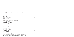## **AUTHENTIC ITALIAN イタリア料理**

| Spaghetti, Linguine, Penne or Fusilli $\bullet\ \mathcal{V}$<br>with sauce of your choice: tomato $+$ basil, bolognese, carbonara, arrabbiata, garlic $+$ olive oil $+$ chili<br>スパゲッティ・リングイーニ・ペンネ・フジッリ<br>お好みのパスタソースと共に: トマトとバジル ボロネーゼ カルボナーラ アラビアータ ペペロンチーノ | 360  |
|---------------------------------------------------------------------------------------------------------------------------------------------------------------------------------------------------------------------------------------------------------------|------|
| <b>Penne with Smoked Salmon</b><br>with light cream sauce and basil<br>スモークサーモンのペンネ<br>クリームソース バジル                                                                                                                                                            | 380  |
| Homemade Tuscan Potato Ravioli<br>with roasted beef ragout and rosemary essence foam<br>自家製ポテトラビオリ トスカーナ風<br>ビーフラグー ローズマリー風味のフォーム                                                                                                                             | 380  |
| Coffee and Cocoa Fettuccine<br>with portobello mushroom, chicken, cherry tomatoes and preserved lemon<br>自家製フィットチーネ コーヒーとココア風味<br>ポートベロマッシュルーム 鶏肉 チェリートマト レモン                                                                                                 | 360  |
| Traditional 52cm Long Spaghetti $\mathcal G$<br>with maine lobster 700 grams, champignons and spicy tomato<br>ロブスターと52センチのロングスパゲッティ(2人前)<br>ボストンロブスター700グラム シャンピニオンソース スパイシートマト                                                                               | 1500 |
| Pumpkin Potato Gnocchi<br>with blue cheese, fresh spinach and cream<br>かぼちゃとじゃがいものニョッキ<br>ブルーチーズ ほうれん草 クリーム                                                                                                                                                   | 390  |
| <b>Roasted Vegetable Risotto</b><br>with basil, mascarpone and parmesan<br>ロースト野菜のリゾット<br>バジル マスカルポーネ パルメザンチーズ                                                                                                                                                | 390  |
| Andaman Seafood Risotto<br>with squid, shrimps, mussels and tomato essence<br>アンダマン海のシーフードリゾット<br>イカ エビ ムール貝 トマトエッセンス                                                                                                                                         | 450  |

#### ↓ signature dish シグネチャーディッシュ ● spicy スパイシー ● contains pork 豚肉使用 **◯** vegetarian ベジタリアン │  $\mathcal V$  vegetarian option available ベジタリアンオプション可

Allow us to fulfil your needs – please let one of our associates know if you have any special dietary requirements, food allergies or food intolerance All prices are in THB and are subject to 7% government tax and 10% service charge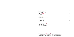

| Queen Margherita Pizza<br>tomato sauce, mozzarella, basil<br>ピッツァ・クイーンマルゲリータ<br>トマトソース モッツァレラチーズ バジル                                     | 350 |
|------------------------------------------------------------------------------------------------------------------------------------------|-----|
| Diavola Pizza <b>8</b><br>tomato sauce, mozzarella, spicy salami<br>ピッツァ・ディアボラ<br>トマトソース モッツァレラチーズ スパイシーサラミ                              | 360 |
| White Pizza<br>mozzarella, gorgonzola, taleggio, parmesan<br>チーズ4種のホワイトピッツァ<br>モッツァレラ ゴルゴンゾーラ タレッジョ パルメザン                                | 390 |
| <b>FROM THE LAND 肉料理</b>                                                                                                                 |     |
| <b>Grilled Chicken Thigh</b><br>grilled potato, asparagus, balsamic tomato confit<br>グリルチキン<br>グリルポテト アスパラガス バルサミコ酢とトマトのコンフィ             | 450 |
| Coffee Roasted Pork Belly $\mathcal{P}_{\mathcal{C}}$<br>the contract of the contract of the contract of the contract of the contract of | 480 |

**Coffee Roasted Pork Belly**  $\bigcirc$  $\bigcirc$ almond crunch, charred mango, pear-wine puree, maple syrup ローストポークコーヒー風味 豚バラ肉を10時間以上コーヒーに漬け込んでから調理しました アーモンド 焼きマンゴー 梨とワインのソース

Allow us to fulfil your needs – please let one of our associates know if you have any special dietary requirements, food allergies or food intolerance All prices are in THB and are subject to 7% government tax and 10% service charge

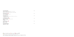| <b>Grass Fed Angus Beef</b><br>polenta, baby carrots, blue cheese yoghurt, coconut powder<br>グラスフェッド アンガスビーフフィレ<br>ポレンタ ベビーキャロット ブルーチーズヨーグルト ココナッツパウダー | 880 |
|--------------------------------------------------------------------------------------------------------------------------------------------------------|-----|
| Kai liew Moo Sap<br>thai fried egg omelet with minced pork<br>タイオムレツ 豚ひき肉炒め                                                                            | 260 |
| Gai Tord Hat Yai $\mathcal{G}$<br>southern thai style crispy chicken flavoured with garlic and coriander root<br>ハジャイ風クリスピーチキン<br>ニンニクとコリアンダールート風味     | 320 |
| Gai Pad Med Mamuang<br>stir-fried chicken with cashew nuts, chives and chili<br>鶏肉のカシューナッツ炒め<br>ニラ 唐辛子                                                 | 350 |
| Moo Tord Gratiem (3)<br>stir-fried pork with garlic<br>豚肉のガーリック炒め                                                                                      | 360 |
| Nuae Pad Nam Man Oi<br>stir-fried beef with oyster sauce<br>牛肉のオイスターソース炒め                                                                              | 420 |



Allow us to fulfil your needs – please let one of our associates know if you have any special dietary requirements, food allergies or food intolerance All prices are in THB and are subject to 7% government tax and 10% service charge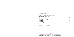### **FROM THE OCEAN**  $\dot{y}$  -  $7 - \dot{y}$

#### **Roasted Prosciutto Wrapped Butterfish** 450

#### **Grilled Atlantic Salmon**

| Roasted Prosciutto Wrapped Butterfish<br>with mashed green peas, rocket, cherry tomato, garlic confit<br>バターフィッシュのプロシュート包み焼き<br>マッシュドグリーンピース ルッコラ チェリートマト ニンニクのコンフィ | 450 |
|---------------------------------------------------------------------------------------------------------------------------------------------------------------------|-----|
| <b>Fish and Chips</b><br>crispy battered black cod served with fries french, tartar sauce and malt vinegar<br>フィッシュアンドチップス<br>ギンダラのフライ フライドポテト タルタルソース モルトビネガー      | 480 |
| Grilled Atlantic Salmon<br>orange infused fennel, olives, mango, salsa verde<br>アトランティックサーモンのグリル<br>フェンネルのオレンジ風味 オリーブ マンゴー サルサベルデ                                   | 580 |
| Phad Pio Waan Talay<br>stir-fried assorted seafood with sweet and sour sauce<br>シーフードのスイートサワー炒め                                                                     | 460 |
| Chu Chee Pu Nim<br>soft-shell crab with red curry sauce and kaffir lime<br>ソフトシェルクラブのカレー炒め                                                                          | 480 |
| Pla Krapong Tord Gratiem Prik Thai Dam $~\,$ $\,$ $\,$ $\,$ $\,$                                                                                                    | 430 |

deep-fried white snapper with garlic and black peppercorn sauce 鱸のニンニクとブラックペッパーソース炒め

Allow us to fulfil your needs – please let one of our associates know if you have any special dietary requirements, food allergies or food intolerance All prices are in THB and are subject to 7% government tax and 10% service charge

食物アレルギーをお持ちのお客様はスタッフまでご連絡ください。上記金額はタイパーツ建てとなります。別途7%のVAT及び10%のサービス料金加算となりますことをご了承ください。

# **Pla Krapong Tord Gratiem Prik Thai Dam** 430

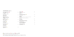Allow us to fulfil your needs – please let one of our associates know if you have any special dietary requirements, food allergies or food intolerance All prices are in THB and are subject to 7% government tax and 10% service charge

食物アレルギーをお持ちのお客様はスタッフまでご連絡ください。上記金額はタイパーツ建てとなります。別途7%のVAT及び10%のサービス料金加算となりますことをご了承ください。

**Tomato Soup** 170 䝖䝬䝖䝇䞊䝥

## **CHILDREN MENU お子様用メニュー**

| 220 | Fried Egg <sup>&amp;</sup><br>served with ham and sausage<br>目玉焼き<br>ハム ソーセージ                               | 200 |
|-----|-------------------------------------------------------------------------------------------------------------|-----|
| 190 | Grilled Cheese Sandwich<br>チーズサンドイッチ                                                                        | 190 |
| 170 | Spaghetti<br>choice of cream cheese sauce, bolognese or tomato sauce<br>スパゲッティー<br>クリームチーズソース、ミートソース、トマトソース | 190 |
| 170 | <b>Fish Finger</b><br>フィッシュフィンガー                                                                            | 200 |
| 150 | <b>Wok-fried Noodle with Chicken</b><br>チキンのフライドヌードル                                                        | 190 |
|     | <b>Chocolate Fudge Brownie</b><br>チョコレートファッジブラウニー                                                           | 150 |
| 170 | Ice Cream (per scoop)<br>カップアイスクリーム                                                                         | 120 |
|     |                                                                                                             |     |

↓ signature dish シグネチャーディッシュ ● spicy スパイシー ● contains pork 豚肉使用 **১** vegetarian ≺ジタリアン  ${\mathcal V}$  vegetarian option available ≺ジタリアンオプション可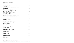| Selection of World Cheeses<br>served with dried fruits, honey and crackers<br>各国のチーズ                                                                                         | 475 |
|------------------------------------------------------------------------------------------------------------------------------------------------------------------------------|-----|
| ドライフルーツ 蜂蜜 クラッカー                                                                                                                                                             |     |
| Coconut Crème Brûlée<br>made with chiangmai vanilla and served with coconut sherbet<br>ココナッツクリーム ブリュレ<br>タイ・チェンマイ産のバニラと共に作りました ココナッツシャーベット添え                                 | 300 |
| Green Tea Dome<br>mascarpone mousse, green tea cremeux<br>抹茶ムースケーキ<br>マスカルポーネチーズのムースと抹茶のクレムーのハーモニー                                                                           | 350 |
| Flourless Almond Chocolate Cake<br>served with fresh raspberry and almond chocolate bits<br>アーモンドチョコレートケーキ(小麦粉無使用)<br>フレッシュラズベリー アーモンドチョコレート                                 | 320 |
| Neapolitan Coffee Pudding<br>bread soaked with coffee, topped with cocoa mascarpone mousse<br>ナポリ風コーヒープリン<br>スポンジケーキのコーヒー浸し ココアとマスカルポーネチーズのムース                               | 320 |
| Sankaya Fakthong<br>thai pumpkin egg custard<br>タイ風かぼちゃのカスタードプリン                                                                                                             | 200 |
| Tabtim Krob<br>coconut and water chestnut dumpling in coconut syrup<br>ココナッツとクワイの団子 ココナッツシロップと共に                                                                             | 200 |
| Khanom Mo Kaeng Thua<br>homemade thai custard with mung bean<br>自家製タイカスタード 青小豆                                                                                               | 200 |
| Khao Niew Dam Mamuang<br>fresh mango with organic black sticky rice<br>マンゴーステッキーライス<br>黒もち米と共に                                                                               | 340 |
| lce Cream Kati Rue Cha Thai Rue Takrai<br>homemade thai ice cream<br>choice of coconut, lemongrass or thai tea flavours<br>自家製タイアイスクリーム<br>ココナッツ レモングラス タイティー風味のいずれかをお選びください | 260 |
| A Scoop of Ice Cream<br>カップアイスクリーム                                                                                                                                           | 100 |
| <b>Exotic Fruits of Thailand</b><br>individual or combined fresh fruits<br>タイ季節のフルーツ<br>ー品または盛り合わせ                                                                           | 280 |

Allow us to fulfil your needs – please let one of our associates know if you have any special dietary requirements, food allergies or food intolerance All prices are in THB and are subject to 7% government tax and IO% service charge<br>食物アレルギーをお持ちのお客様はスタッフまでご連絡ください。上記金額はタイパーツ建てとなります。別途7%のVAT及び10%のサービス料金加算となりますことをご了承ください。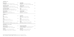## **COCKTAIL** カクテル

| <b>Bamboo Crush</b><br>chivas regal, ginger ale, apple juice, sugar syrup, fresh mint<br>バンブークラッシュ<br>シーバスリーガル ジンジャーエール アップルジュース シロップ フレッシュミント                   | 270 | <b>Spiced Mojito</b><br>dark rum, ginger ale, lime juice, fresh mint, sugar syrup<br>スパイスモヒート<br>ダークラム ジンジャーエール ライムジュース フレッシュミント シロップ | 270 |
|------------------------------------------------------------------------------------------------------------------------------------------------------------------|-----|---------------------------------------------------------------------------------------------------------------------------------------|-----|
| <b>Ginger Mint Lemonade</b><br>citrus vodka, fresh mint, lemon juice, ginger, sugar syrup, sprite<br>ジンジャーミントレモネード<br>シトラスウォッカ フレッシュミント レモンジュース ジンジャー シロップ スプライト | 270 | <b>Tangerine Cooler</b><br>gin, tangerine juice, syrup, lemon juice, sprite<br>タンジェリンクーラー<br>ジン タンジェリン シロップ レモンジュース スプライト             | 270 |
| Lime Strawberry Daiquiri<br>light rum, lime juice, strawberry, strawberry liqueur, sugar syrup<br>ライム ストロベリーダイキリ<br>ライトラム ライムジュース ストロベリー ストロベリーリキュール シロップ        | 270 | Imosa<br>triple sec, orange juice, prosecco<br>イモザ<br>トリプルセク オレンジジュース シャンパン                                                           | 270 |
| Pepper Caipirinha<br>cachaca, lime, fresh basil, white peppercorns<br>ペッパーカイピリーニャ<br>砂糖きびラム ライム フレッシュバジル ホワイトペッパーコーン                                             | 270 | Campari Cocktail<br>vodka, campari, angostura bitters<br>カンパリマティーニ<br>ウォッカ カンパリ アンゴスチュラビターズ                                           | 270 |

## **MARTINI**  $\nabla \overline{\tau}$

| Dry<br>dry gin, dry vermouth<br>ドライ<br>ドライジン ドライベルモット                                                        | 270 | Pomegranate<br>vodka, pomegranate, cointreau, sugar syrup<br>ザクロ<br>ウォッカ ザクロジュース コアントロー シロップ                               | 270 |
|--------------------------------------------------------------------------------------------------------------|-----|----------------------------------------------------------------------------------------------------------------------------|-----|
| Dirty<br>vodka, dry vermouth, olive, olive juice<br>ダーティー<br>ウォッカ ドライベルモット オリーブ オリーブジュース                     | 270 | Pretty<br>vodka, dry vermouth, grand manier, amaretto<br>プリティ<br>ウォッカ ドライベルモット グランマルニエ アマレット                               | 270 |
| Chic<br>gin, fresh pomelo, apple juice, lime juice, syrup<br>シック<br>ウォッカ フレッシュグレープフルーツ アップルジュース ライムジュース シロップ | 270 | <b>Flirtini</b><br>vodka, prosecco, orange liquer, pineapple juice, pineapple<br>フラティーニ<br>ウォッカ プロセッコ オレンジリキュール パイナップルジュース | 270 |

# **MOCKTAILS** ノンアルコールカクテル

| <b>Ginger Lime Crush</b><br>fresh mint, lemon juice, ginger, sugar syrup, sprite<br>ジンジャーライムクラッシュ<br>フレッシュミント レモンジュース ジンジャー シロップ スプライト | 180 | Pomegranate Virgin Mojito<br>fresh mint, lime juice, pomegranate juice, grenadine syrup, soda water<br>ノンアルコール・ザクロモヒート<br>ミント ライムジュース ザクロジュース グレナデン・シロップ ソーダ | 18C  |
|----------------------------------------------------------------------------------------------------------------------------------------|-----|--------------------------------------------------------------------------------------------------------------------------------------------------------------|------|
| Power Up<br>yoghurt, honey, lychee, peach, apple, guava, passionfruit<br>パワーアップ<br>ヨーグルト 蜂蜜 グリーンアップル ライチ ピーチ パッションフルーツ                 | 180 | Sweet Touch<br>yoghurt, honey, raspberry, peach, pomegranate, orange<br>スイートタッチ<br>ヨーグルト 蜂蜜 ピーチ ザクロ ラズベリー オレンジ                                               | -180 |

Allow us to fulfil your needs – please let one of our associates know if you have any special dietary requirements, food allergies or food intolerance All prices are in THB and are subject to 7% government tax and IO% service charge<br>食物アレルギーをお持ちのお客様はスタッフまでご連絡ください。上記金額はタイパーツ建てとなります。別途7%のVAT及び10%のサービス料金加算となりますことをご了承ください。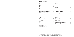## **BEER AND CIDER** ビール サイダー

| <b>Chang Classic</b><br>チャーン                                      | 15( |   |
|-------------------------------------------------------------------|-----|---|
| Chalawan Thai Craft Beer - Full Moon Brewery<br>フルムーン チャラワンペールエール | 240 | ŧ |
| Heineken<br>ハイネケン                                                 | 190 |   |
| Asahi<br>アサヒ                                                      | 190 |   |
| Corona<br>コロナ                                                     | 240 |   |

# **SOFT DRINKS** ソフトドリンク

| Smoothies                                                                          |     |
|------------------------------------------------------------------------------------|-----|
| フルーツスムージー                                                                          |     |
| Strawberry with banana and apple<br>バナナ グリーンアップル ストロベリー                            | 200 |
| Raspberry with peach, orange and pomegranate<br>ピーチ ザクロ ラズベリー オレンジ                 | 200 |
| Blueberry with mango, orange and guava<br>ブルーベリー マンゴ オレンジ グアバ                      | 200 |
| Lychee with peach, apple, guava and passionfruit<br>グリーンアップル グアバ ライチ ピーチ パッションフルーツ | 200 |
| Mango with pineapple<br>マンゴ パイナップル                                                 | 200 |
|                                                                                    |     |

| Eye Opener                                                                                                                                      |     | S                |
|-------------------------------------------------------------------------------------------------------------------------------------------------|-----|------------------|
| アイ オープナー<br>$L$ ychee + Thai Basil + Ginger<br>ライチ タイバジル 生姜                                                                                     | 190 | ラ<br>S           |
| Passionfruit + Lemongrass<br>パッションフルーツ レモングラス                                                                                                   | 190 | R<br>Ľ           |
| AC fresh Juice<br>mango, pink guava, kiwi, black currant, raspberry<br>ACフレッシュジュース<br>マンゴージュース ピンクグアバジュース キウイフルーツジュース<br>ブラックカラントジュース ラズベリージュース | 200 | В<br>ク<br>N<br>₹ |
| <b>Freshly Pressed Juice</b><br>orange, mango, watermelon, coconut<br>フレッシュオレンジジュース フレッシュマンゴージュース<br>フレッシュスイカジュース フレッシュココナッツ                    | 230 |                  |

| Light Beer<br>ライトビール<br>San Miguel Light<br>サンミゲルライト                      | 200 |  |
|---------------------------------------------------------------------------|-----|--|
| Non Alcoholic Beer<br>ノンアルコールビール<br>Clausthaler<br>クラウスターラー               | 250 |  |
|                                                                           |     |  |
| Pepsi, Pepsi Max, 7 Up 245ml<br>ペプシコーラ ペプシマックス セブンアップ 245ml               | 100 |  |
| Soda Water, Ginger Ale, Tonic Water 330ml<br>ソーダ ジンジャーエール トニックウォーター 330ml | 125 |  |

| <b>Fentimans Botanically Brewed Beverage 275ml</b>                 | 190 | P. |
|--------------------------------------------------------------------|-----|----|
| wild english elderflower, rose lemonade,                           |     | ぺ  |
| traditional ginger beer, mandarin $\delta x$ seville orange jigger |     |    |
| フェンティマンスのボタニカルドリンク 275ml                                           |     | S۰ |
| ワイルドイングリッシュ・エルダーフラワー ローズレモネード                                      |     | ソ  |
| ジンジャービア マンダリン&シビルオレンジ・ジガー                                          |     |    |

## **JUICES AND SMOOTHIES** ジュース フルーツスムージー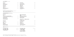Decaffeinated option is available for all coffee above Prepared with your preference of milk - full cream, low fat or soybean milk<br>上記すべてのコーヒーはカフェイン抜きもご用意いたしております。 ご希望に応じて低脂肪乳や豆乳でもお作りいたします

## **RONNEFELDT TEA ロンネフェルトティー**

## **ILLY COFFEE** イリー・コーヒー

| <b>Espresso</b>          | 150<br><b>French Press</b>    | 180 |
|--------------------------|-------------------------------|-----|
| エスプレッソ                   | コーヒーフレンチプレス                   |     |
| Double Espresso          | 180<br>Macchiato Caldo        | 150 |
| ダブル・エスプレッソ               | マキアート・カルド                     |     |
| Americano                | 150<br>Caffè Latte            | 150 |
| アメリカーノ                   | カフェ・ラテ                        |     |
| Cappuccino               | 150<br><b>Iced Espresso</b>   | 180 |
| カプチーノ                    | アイスエスプレッソ                     |     |
| <b>Double Cappuccino</b> | 180<br><b>Iced Cappuccino</b> | 180 |
| ダブル・カプチーノ                | アイスカプチーノ                      |     |

| <b>Black Tea</b>                                                            |                                                                          | <b>White and Oolong Tea</b><br>中国茶            |            |  |
|-----------------------------------------------------------------------------|--------------------------------------------------------------------------|-----------------------------------------------|------------|--|
| ブラック<br>St.   ames Ceylon English Breakfast<br>イングリッシュブレックファスト・セントジェームスセイロン | 170                                                                      | White Yunnan Silver Tips<br>ホワイトユンナン シルバーティップ | 200        |  |
| <b>Spring Darjeeling</b><br>スプリング ダージリン                                     | 170                                                                      | Dung Ti Oolong<br>ドゥンティーウーロン                  | 200        |  |
| Darjeeling Earl Grey<br>ダージリン・アールグレイ                                        | 170                                                                      | Herbal Infusion / Caffeine Free Tea<br>ハーブティー |            |  |
| <b>Green Tea</b><br>グリーンティー<br><b>Fancy Sencha</b><br>煎茶                    | Le Méridien Blend<br>ル・メリディアンブレンド<br><b>Lemon Grass</b><br>170<br>レモングラス |                                               | 170<br>170 |  |
|                                                                             |                                                                          |                                               |            |  |
| Morgentau<br>モルゲンタオ                                                         | 170                                                                      | <b>Refreshing Mint</b><br>ペパーミント              | 170        |  |
| Jasmine Gold China<br>ジャスミン ゴールドチャイナ                                        | 170                                                                      | <b>Ceylon Decaffeinated</b><br>セイロン ディカフェイン   | 170        |  |
| H2O ミネラルウォーター                                                               |                                                                          |                                               |            |  |
| Evian 500ml / 750ml<br>エビアン (500ml/750ml)                                   | 165 / 235                                                                | Perrier 330ml / 750ml<br>ペリエ (330ml/750ml)    | 155/260    |  |
| Badoit 330ml / 750ml<br>バドア(330ml/750ml)                                    | 145/250                                                                  | S. Pellegrino 500ml<br>サン ペレグリノ (500ml)       | 185        |  |
|                                                                             |                                                                          | <b>Domestic Chang Water</b><br>ローカルチャーンウォーター  | 60         |  |

Allow us to fulfil your needs – please let one of our associates know if you have any special dietary requirements, food allergies or food intolerance All prices are in THB and are subject to 7% government tax and IO% service charge<br>食物アレルギーをお持ちのお客様はスタッフまでご連絡ください。上記金額はタイバーツ建てとなります。別途7%のVAT及び10%のサービス料金加算となりますことをご了承ください。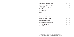#### **SPARKLING WINE** スパークリングワイン

Glera, Prosecco Extra Dry, Colmei, Desiderio Jeio, Italy グレラ プロセッコエクストラドライ コルメイ デシデリオ・ジェイオ イタリア

Brut Cordon Rouge NV, G.H. Mumm, France (750ml) コルドン・ルージュ G.H.マム フランス 750ml

**Brut Imperial NV, Moët & Chandon, France (200ml)** 1450 ブリュット モエシャンドン フランス 200ml

**Brut Imperial NV, Moët & Chandon, France (750ml)** ブリュット モエシャンドン フランス 750ml

**WHITE WINE 白ワインワイン** 

Pinot grigio, Talamonti Tavo, Ilauri, Italy ピノグリッジョ タラモンティ タヴォ イタリア

**Chardonnay, Rawson's Retreat Private Release, Australia** 320 1600 シャルドネ ローソンズ・リトリート プライベートリリース オーストラリア

Sauvignon Blanc, Kim Crawford, New Zealand ソーヴィニヨンブラン キムクロフォード ニュージーランド

**Chardonnay, Te Mata Estate, New Zealand** シャルドネ テマタエステート ニュージーランド

**Chardonnay, Private Selection, Robert Mondavi, USA** シャルドネ プライベートセレクション ロバートモンダヴィ アメリカ

**Chardonnay, Stimson Estate Cellars, USA** シャルドネ スティムソンエステート アメリカ

| glass | bottle |
|-------|--------|
| 360   | 1800   |
|       | 5700   |
|       | 1450   |
|       | 6900   |
|       |        |

| 300 | 1500 |
|-----|------|
| 320 | 1600 |
| 360 | 1800 |
| 360 | 1800 |
| 360 | 1800 |
| 320 | 1600 |